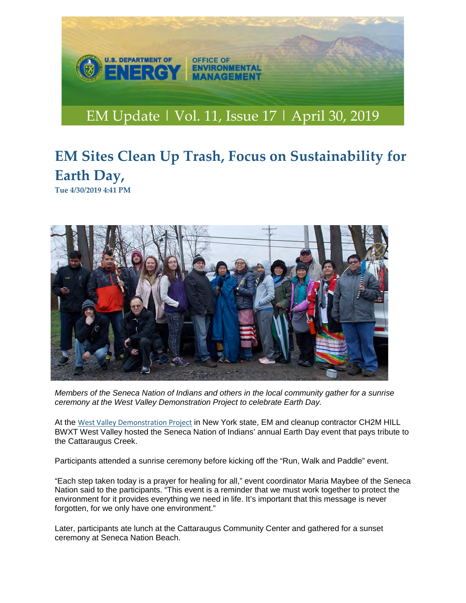

## **EM Sites Clean Up Trash, Focus on Sustainability for Earth Day,**

**Tue 4/30/2019 4:41 PM**



*Members of the Seneca Nation of Indians and others in the local community gather for a sunrise ceremony at the West Valley Demonstration Project to celebrate Earth Day.*

At the [West Valley Demonstration Project](https://protect2.fireeye.com/url?k=647ff33a-3859c78e-647d0a0f-000babd9fe9f-7b8dcb35d7258e09&u=http://links.govdelivery.com/track?type=click&enid=ZWFzPTEmbWFpbGluZ2lkPTIwMTkwNDMwLjUzNTUwOTEmbWVzc2FnZWlkPU1EQi1QUkQtQlVMLTIwMTkwNDMwLjUzNTUwOTEmZGF0YWJhc2VpZD0xMDAxJnNlcmlhbD0xNzQ2NjAwOSZlbWFpbGlkPWFsaXRhLmR1ZXJpbmdlckBueXNlcmRhLm55LmdvdiZ1c2VyaWQ9YWxpdGEuZHVlcmluZ2VyQG55c2VyZGEubnkuZ292JmZsPSZleHRyYT1NdWx0aXZhcmlhdGVJZD0mJiY=&&&123&&&https://www.wv.doe.gov/) in New York state, EM and cleanup contractor CH2M HILL BWXT West Valley hosted the Seneca Nation of Indians' annual Earth Day event that pays tribute to the Cattaraugus Creek.

Participants attended a sunrise ceremony before kicking off the "Run, Walk and Paddle" event.

"Each step taken today is a prayer for healing for all," event coordinator Maria Maybee of the Seneca Nation said to the participants. "This event is a reminder that we must work together to protect the environment for it provides everything we need in life. It's important that this message is never forgotten, for we only have one environment."

Later, participants ate lunch at the Cattaraugus Community Center and gathered for a sunset ceremony at Seneca Nation Beach.